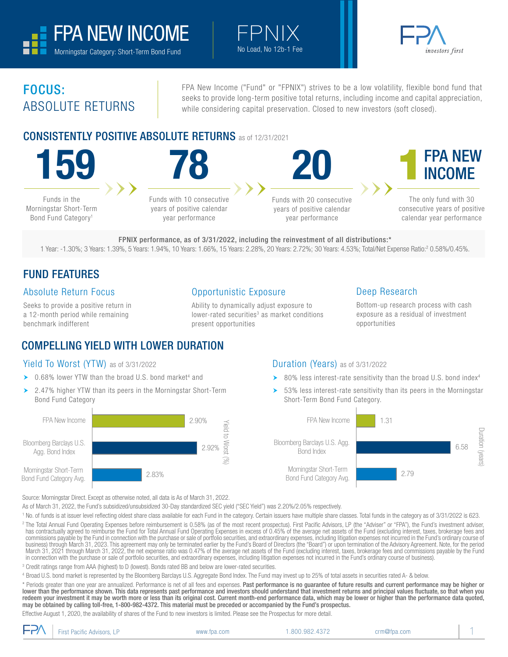



# FOCUS: ABSOLUTE RETURNS

FPA New Income ("Fund" or "FPNIX") strives to be a low volatility, flexible bond fund that seeks to provide long-term positive total returns, including income and capital appreciation, while considering capital preservation. Closed to new investors (soft closed).

## CONSISTENTLY POSITIVE ABSOLUTE RETURNS as of 12/31/2021



Bond Fund Category<sup>1</sup>

Funds with 10 consecutive years of positive calendar year performance

Funds with 20 consecutive years of positive calendar year performance



The only fund with 30 consecutive years of positive calendar year performance

FPNIX performance, as of 3/31/2022, including the reinvestment of all distributions:\* 1 Year: -1.30%; 3 Years: 1.39%, 5 Years: 1.94%, 10 Years: 1.66%, 15 Years: 2.28%, 20 Years: 2.72%; 30 Years: 4.53%; Total/Net Expense Ratio:2 0.58%/0.45%.

 $\vdash \vdash \mathbb{N} \mathbb{X}$ <br>No Load. No 12b-1 Fee

## FUND FEATURES

#### Absolute Return Focus

Seeks to provide a positive return in a 12-month period while remaining benchmark indifferent

#### Opportunistic Exposure

Ability to dynamically adjust exposure to lower-rated securities<sup>3</sup> as market conditions present opportunities

#### Deep Research

Bottom-up research process with cash exposure as a residual of investment opportunities

# COMPELLING YIELD WITH LOWER DURATION

#### Yield To Worst (YTW) as of 3/31/2022

- $\triangleright$  0.68% lower YTW than the broad U.S. bond market<sup>4</sup> and
- ▶ 2.47% higher YTW than its peers in the Morningstar Short-Term Bond Fund Category



#### Duration (Years) as of 3/31/2022

- $\triangleright$  80% less interest-rate sensitivity than the broad U.S. bond index<sup>4</sup>
- 53% less interest-rate sensitivity than its peers in the Morningstar Short-Term Bond Fund Category.



Source: Morningstar Direct. Except as otherwise noted, all data is As of March 31, 2022.

As of March 31, 2022, the Fund's subsidized/unsubsidized 30-Day standardized SEC yield ("SEC Yield") was 2.20%/2.05% respectively.

<sup>1</sup> No. of funds is at issuer level reflecting oldest share class available for each Fund in the category. Certain issuers have multiple share classes. Total funds in the category as of 3/31/2022 is 623.

<sup>2</sup> The Total Annual Fund Operating Expenses before reimbursement is 0.58% (as of the most recent prospectus). First Pacific Advisors, LP (the "Adviser" or "FPA"), the Fund's investment adviser, has contractually agreed to reimburse the Fund for Total Annual Fund Operating Expenses in excess of 0.45% of the average net assets of the Fund (excluding interest, taxes, brokerage fees and commissions payable by the Fund in connection with the purchase or sale of portfolio securities, and extraordinary expenses, including litigation expenses not incurred in the Fund's ordinary course of business) through March 31, 2023. This agreement may only be terminated earlier by the Fund's Board of Directors (the "Board") or upon termination of the Advisory Agreement. Note, for the period March 31, 2021 through March 31, 2022, the net expense ratio was 0.47% of the average net assets of the Fund (excluding interest, taxes, brokerage fees and commissions payable by the Fund in connection with the purchase or sale of portfolio securities, and extraordinary expenses, including litigation expenses not incurred in the Fund's ordinary course of business).

3 Credit ratings range from AAA (highest) to D (lowest). Bonds rated BB and below are lower-rated securities.

4 Broad U.S. bond market is represented by the Bloomberg Barclays U.S. Aggregate Bond Index. The Fund may invest up to 25% of total assets in securities rated A- & below.

\* Periods greater than one year are annualized. Performance is net of all fees and expenses. Past performance is no guarantee of future results and current performance may be higher or lower than the performance shown. This data represents past performance and investors should understand that investment returns and principal values fluctuate, so that when you redeem your investment it may be worth more or less than its original cost. Current month-end performance data, which may be lower or higher than the performance data quoted, may be obtained by calling toll-free, 1-800-982-4372. This material must be preceded or accompanied by the Fund's prospectus. Effective August 1, 2020, the availability of shares of the Fund to new investors is limited. Please see the Prospectus for more detail.

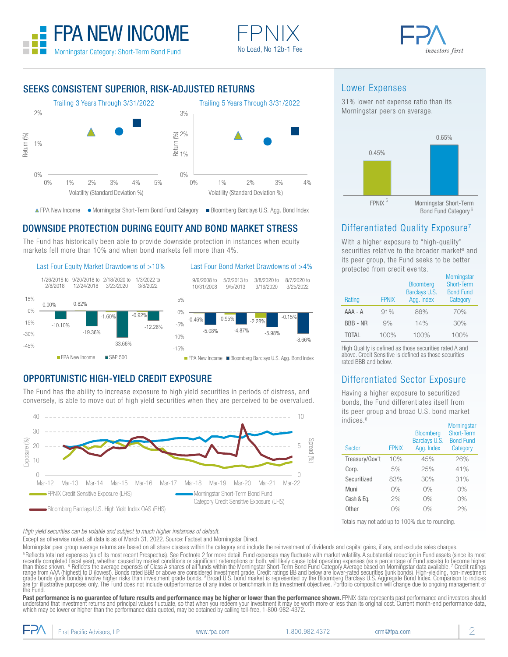





#### SEEKS CONSISTENT SUPERIOR, RISK-ADJUSTED RETURNS



A FPA New Income . Morningstar Short-Term Bond Fund Category . ■ Bloomberg Barclays U.S. Agg. Bond Index

## DOWNSIDE PROTECTION DURING EQUITY AND BOND MARKET STRESS

The Fund has historically been able to provide downside protection in instances when equity markets fell more than 10% and when bond markets fell more than 4%.

#### Last Four Equity Market Drawdowns of  $>10\%$  Last Four Bond Market Drawdowns of  $>4\%$





### OPPORTUNISTIC HIGH-YIELD CREDIT EXPOSURE

The Fund has the ability to increase exposure to high yield securities in periods of distress, and conversely, is able to move out of high yield securities when they are perceived to be overvalued.



Lower Expenses

31% lower net expense ratio than its Morningstar peers on average.



## Differentiated Quality Exposure<sup>7</sup>

With a higher exposure to "high-quality" securities relative to the broader market<sup>8</sup> and its peer group, the Fund seeks to be better protected from credit events.

| Rating          | <b>FPNIX</b> | <b>Bloomberg</b><br>Barclays U.S.<br>Agg. Index | <b>Morningstar</b><br>Short-Term<br><b>Bond Fund</b><br>Category |
|-----------------|--------------|-------------------------------------------------|------------------------------------------------------------------|
| AAA - A         | 91%          | 86%                                             | 70%                                                              |
| <b>BBB - NR</b> | 9%           | 14%                                             | 30%                                                              |
| <b>TOTAL</b>    | 100%         | 100%                                            | 100%                                                             |

High Quality is defined as those securities rated A and above. Credit Sensitive is defined as those securities rated BBB and below.

### Differentiated Sector Exposure

Having a higher exposure to securitized bonds, the Fund differentiates itself from its peer group and broad U.S. bond market indices.<sup>8</sup>

| .<br><b>Sector</b> | <b>FPNIX</b> | <b>Bloomberg</b><br>Barclays U.S.<br>Agg. Index | <b>Morningstar</b><br>Short-Term<br><b>Bond Fund</b><br>Category |
|--------------------|--------------|-------------------------------------------------|------------------------------------------------------------------|
| Treasury/Gov't     | 10%          | 45%                                             | 26%                                                              |
| Corp.              | 5%           | 25%                                             | 41%                                                              |
| Securitized        | 83%          | 30%                                             | 31%                                                              |
| Muni               | 0%           | 0%                                              | 0%                                                               |
| Cash & Eq.         | 2%           | 0%                                              | 0%                                                               |
| Other              | 0%           | 0%                                              | 2%                                                               |

Totals may not add up to 100% due to rounding.

*High yield securities can be volatile and subject to much higher instances of default.*

Except as otherwise noted, all data is as of March 31, 2022. Source: Factset and Morningstar Direct.

Morningstar peer group average returns are based on all share classes within the category and include the reinvestment of dividends and capital gains, if any, and exclude sales charges. <sup>s</sup> Reflects total net expenses (as of its most recent Prospectus). See Footnote 2 for more detail. Fund expenses may fluctuate with market volatility. A substantial reduction in Fund assets (since its most<br>recently comple grade bonds (junk bonds) involve higher risks than investment grade bonds. 8 Broad U.S. bond market is represented by the Bloomberg Barclays U.S. Aggregate Bond Index. Comparison to indices<br>are for illustrative purposes on the Fund.

**Past performance is no guarantee of future results and performance may be higher or lower than the performance shown. FPNIX data represents past performance and investors should<br>understand that investment returns and prin**